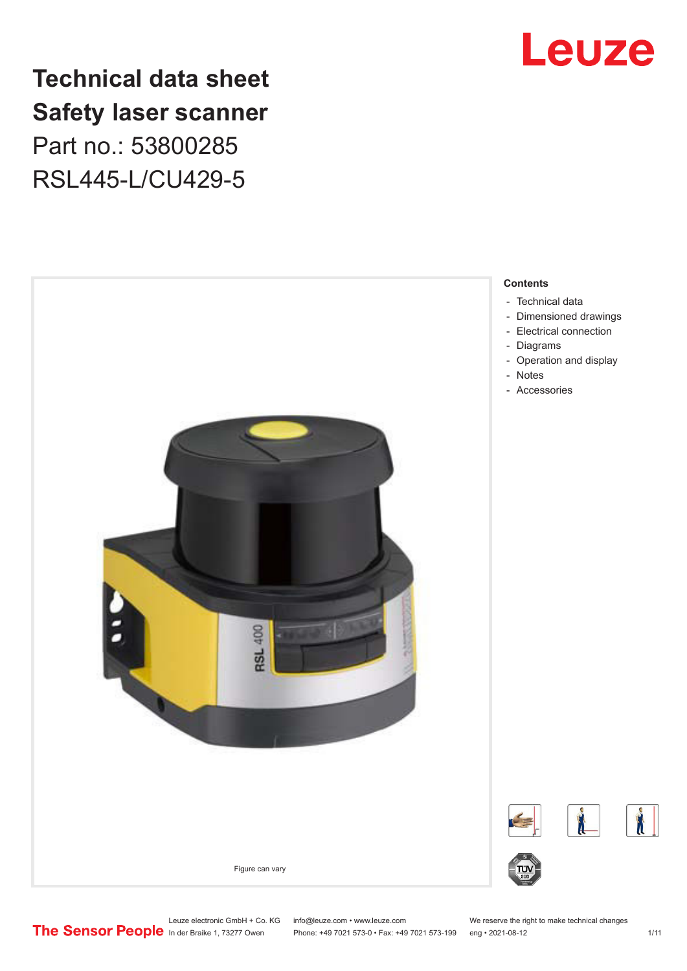

# **Technical data sheet Safety laser scanner** Part no.: 53800285 RSL445-L/CU429-5



Leuze electronic GmbH + Co. KG info@leuze.com • www.leuze.com We reserve the right to make technical changes<br>
The Sensor People in der Braike 1, 73277 Owen Phone: +49 7021 573-0 • Fax: +49 7021 573-199 eng • 2021-08-12 Phone: +49 7021 573-0 • Fax: +49 7021 573-199 eng • 2021-08-12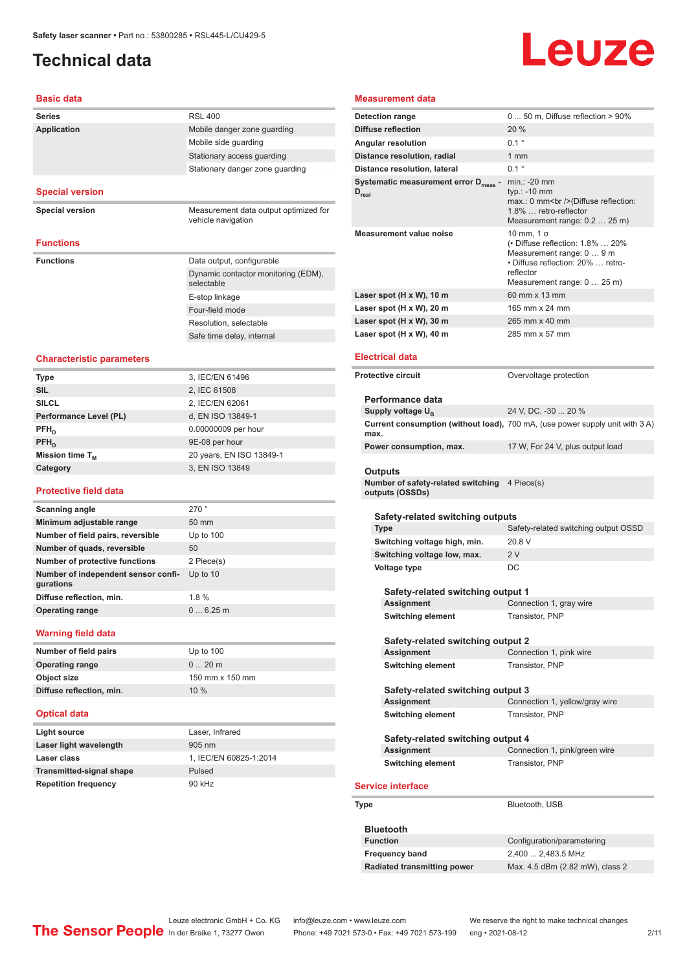# <span id="page-1-0"></span>**Technical data**

# Leuze

#### **Basic data**

| שושט טוכשכ                                       |                                                             |
|--------------------------------------------------|-------------------------------------------------------------|
| Series                                           | <b>RSL 400</b>                                              |
| <b>Application</b>                               | Mobile danger zone guarding                                 |
|                                                  | Mobile side guarding                                        |
|                                                  | Stationary access guarding                                  |
|                                                  | Stationary danger zone guarding                             |
|                                                  |                                                             |
| <b>Special version</b>                           |                                                             |
| <b>Special version</b>                           | Measurement data output optimized for<br>vehicle navigation |
| <b>Functions</b>                                 |                                                             |
| <b>Functions</b>                                 | Data output, configurable                                   |
|                                                  | Dynamic contactor monitoring (EDM),<br>selectable           |
|                                                  | E-stop linkage                                              |
|                                                  | Four-field mode                                             |
|                                                  | Resolution, selectable                                      |
|                                                  | Safe time delay, internal                                   |
| <b>Characteristic parameters</b>                 |                                                             |
| <b>Type</b>                                      | 3, IEC/EN 61496                                             |
| <b>SIL</b>                                       | 2, IEC 61508                                                |
| <b>SILCL</b>                                     | 2, IEC/EN 62061                                             |
| Performance Level (PL)                           | d, EN ISO 13849-1                                           |
| $PFH_{n}$                                        | 0.00000009 per hour                                         |
| PFH <sub>D</sub>                                 | 9E-08 per hour                                              |
| Mission time T <sub>M</sub>                      | 20 years, EN ISO 13849-1                                    |
| Category                                         | 3, EN ISO 13849                                             |
| <b>Protective field data</b>                     |                                                             |
| <b>Scanning angle</b>                            | 270°                                                        |
| Minimum adjustable range                         | 50 mm                                                       |
| Number of field pairs, reversible                | Up to $100$                                                 |
| Number of quads, reversible                      | 50                                                          |
| <b>Number of protective functions</b>            | 2 Piece(s)                                                  |
| Number of independent sensor confi-<br>gurations | Up to $10$                                                  |
| Diffuse reflection, min.                         | 1.8%                                                        |
| <b>Operating range</b>                           | 06.25m                                                      |
| <b>Warning field data</b>                        |                                                             |
| Number of field pairs                            | Up to 100                                                   |
| <b>Operating range</b>                           | $020$ m                                                     |
| Object size                                      | 150 mm x 150 mm                                             |
| Diffuse reflection, min.                         | 10 %                                                        |
| <b>Optical data</b>                              |                                                             |
| Light source                                     | Laser, Infrared                                             |
| Laser light wavelength                           | 905 nm                                                      |
| Laser class                                      | 1, IEC/EN 60825-1:2014                                      |
| <b>Transmitted-signal shape</b>                  | Pulsed                                                      |
| <b>Repetition frequency</b>                      | 90 kHz                                                      |
|                                                  |                                                             |

### **Measurement data**

| <b>Detection range</b>                                                | $050$ m, Diffuse reflection > 90%                                                                                                                                              |
|-----------------------------------------------------------------------|--------------------------------------------------------------------------------------------------------------------------------------------------------------------------------|
| Diffuse reflection                                                    | 20%                                                                                                                                                                            |
| Angular resolution                                                    | $0.1$ $^{\circ}$                                                                                                                                                               |
| Distance resolution, radial                                           | $1 \text{ mm}$                                                                                                                                                                 |
| Distance resolution, lateral                                          | 01°                                                                                                                                                                            |
| Systematic measurement error D <sub>meas</sub> -<br>$D_{\text{real}}$ | $min.: -20$ mm<br>typ.: -10 mm<br>max.: 0 mm<br>>>>>> (Diffuse reflection:<br>1.8%  retro-reflector<br>Measurement range: 0.2  25 m)                                           |
| <b>Measurement value noise</b>                                        | $10 \text{ mm}$ , $1 \sigma$<br>(• Diffuse reflection: 1.8%  20%<br>Measurement range: 0  9 m<br>• Diffuse reflection: 20%  retro-<br>reflector<br>Measurement range: 0  25 m) |
| Laser spot (H x W), 10 m                                              | 60 mm x 13 mm                                                                                                                                                                  |
| Laser spot (H x W), 20 m                                              | 165 mm x 24 mm                                                                                                                                                                 |
| Laser spot (H x W), 30 m                                              | 265 mm x 40 mm                                                                                                                                                                 |
| Laser spot (H x W), 40 m                                              | 285 mm x 57 mm                                                                                                                                                                 |
| <b>Electrical data</b><br><b>Protective circuit</b>                   | Overvoltage protection                                                                                                                                                         |
|                                                                       |                                                                                                                                                                                |
| Performance data                                                      |                                                                                                                                                                                |
| Supply voltage U <sub>B</sub>                                         | 24 V, DC, -30  20 %                                                                                                                                                            |
| max.                                                                  | Current consumption (without load), 700 mA, (use power supply unit with 3 A)                                                                                                   |
| Power consumption, max.                                               | 17 W, For 24 V, plus output load                                                                                                                                               |
| Outputs                                                               |                                                                                                                                                                                |
| Number of safety-related switching 4 Piece(s)<br>outputs (OSSDs)      |                                                                                                                                                                                |
| Safety-related switching outputs<br><b>Type</b>                       | Safety-related switching output OSSD                                                                                                                                           |
| Switching voltage high, min.                                          | 20.8 V                                                                                                                                                                         |
| Switching voltage low, max.                                           | 2V                                                                                                                                                                             |
| Voltage type                                                          | DC                                                                                                                                                                             |
|                                                                       |                                                                                                                                                                                |
| Safety-related switching output 1                                     |                                                                                                                                                                                |
| Assignment                                                            | Connection 1, gray wire                                                                                                                                                        |
| <b>Switching element</b>                                              | Transistor, PNP                                                                                                                                                                |

#### **Safety-related switching output 2**

| Assignment        | Connection 1, pink wire |
|-------------------|-------------------------|
| Switching element | Transistor, PNP         |

| Safety-related switching output 3 |                                |
|-----------------------------------|--------------------------------|
| Assignment                        | Connection 1, yellow/gray wire |
| <b>Switching element</b>          | Transistor, PNP                |

| Safety-related switching output 4 |                               |
|-----------------------------------|-------------------------------|
| Assignment                        | Connection 1, pink/green wire |
| <b>Switching element</b>          | Transistor, PNP               |

#### **e** interface

| Type | Bluetooth, USB |
|------|----------------|
|      |                |

| <b>Bluetooth</b>            |                                 |
|-----------------------------|---------------------------------|
| <b>Function</b>             | Configuration/parametering      |
| <b>Frequency band</b>       | 2,400  2,483.5 MHz              |
| Radiated transmitting power | Max. 4.5 dBm (2.82 mW), class 2 |

Leuze electronic GmbH + Co. KG info@leuze.com • www.leuze.com We reserve the right to make technical changes<br>
The Sensor People in der Braike 1, 73277 Owen Phone: +49 7021 573-0 • Fax: +49 7021 573-199 eng • 2021-08-12

Phone: +49 7021 573-0 • Fax: +49 7021 573-199 eng • 2021-08-12 2 2/11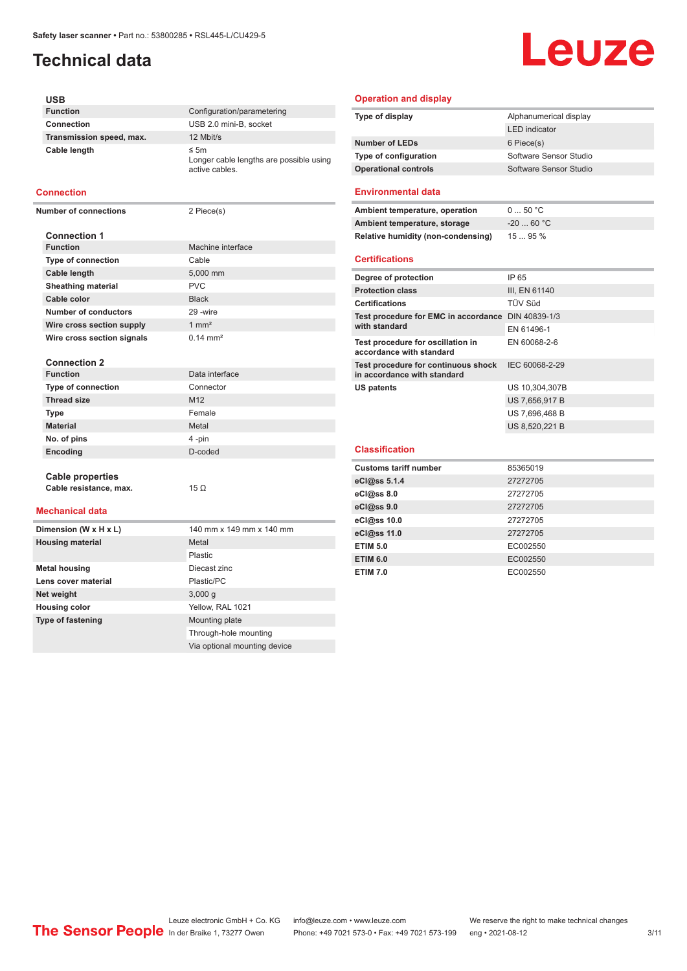# **Technical data**

# Leuze

#### **USB Function** Configuration/parametering **Connection** USB 2.0 mini-B, socket **Transmission speed, max.** 12 Mbit/s **Cable length** ≤ 5m Longer cable lengths are possible using active cables.

#### **Connection**

**Number of connections** 2 Piece(s)

| <b>Connection 1</b>        |                     |
|----------------------------|---------------------|
| <b>Function</b>            | Machine interface   |
| <b>Type of connection</b>  | Cable               |
| <b>Cable length</b>        | 5,000 mm            |
| <b>Sheathing material</b>  | <b>PVC</b>          |
| Cable color                | <b>Black</b>        |
| Number of conductors       | 29 - wire           |
| Wire cross section supply  | $1 \text{ mm}^2$    |
| Wire cross section signals | $0.14 \text{ mm}^2$ |
|                            |                     |
| <b>Connection 2</b>        |                     |
| <b>Function</b>            | Data interface      |
| <b>Type of connection</b>  | Connector           |
| Throad cizo                | M12                 |

| <b>Thread size</b> | M <sub>12</sub> |
|--------------------|-----------------|
| <b>Type</b>        | Female          |
| <b>Material</b>    | Metal           |
| No. of pins        | 4-pin           |
| Encoding           | D-coded         |
|                    |                 |

#### **Cable properties Cable resistance, max.** 15 Ω

#### **Mechanical data**

| Dimension (W x H x L)    | 140 mm x 149 mm x 140 mm     |
|--------------------------|------------------------------|
| <b>Housing material</b>  | Metal                        |
|                          | Plastic                      |
| <b>Metal housing</b>     | Diecast zinc                 |
| Lens cover material      | Plastic/PC                   |
| Net weight               | 3,000q                       |
| <b>Housing color</b>     | Yellow, RAL 1021             |
| <b>Type of fastening</b> | Mounting plate               |
|                          | Through-hole mounting        |
|                          | Via optional mounting device |

#### **Operation and display**

| Type of display              | Alphanumerical display |
|------------------------------|------------------------|
|                              | <b>LED</b> indicator   |
| <b>Number of LEDs</b>        | 6 Piece(s)             |
| <b>Type of configuration</b> | Software Sensor Studio |
| <b>Operational controls</b>  | Software Sensor Studio |
|                              |                        |

#### **Environmental data**

| Ambient temperature, operation                                     | 050 °C         |
|--------------------------------------------------------------------|----------------|
| Ambient temperature, storage                                       | $-2060 °C$     |
| <b>Relative humidity (non-condensing)</b>                          | 1595%          |
| <b>Certifications</b>                                              |                |
| Degree of protection                                               | IP 65          |
| <b>Protection class</b>                                            | III, EN 61140  |
| <b>Certifications</b>                                              | TÜV Süd        |
| Test procedure for EMC in accordance DIN 40839-1/3                 |                |
| with standard                                                      | FN 61496-1     |
| Test procedure for oscillation in<br>accordance with standard      | EN 60068-2-6   |
| Test procedure for continuous shock<br>in accordance with standard | IEC 60068-2-29 |
| US patents                                                         | US 10,304,307B |
|                                                                    | US 7,656,917 B |
|                                                                    | US 7,696,468 B |
|                                                                    | US 8,520,221 B |
| <b>Classification</b>                                              |                |
| <b>Customs tariff number</b>                                       | 85365019       |

| <b>Customs tariff number</b> | 85365019 |
|------------------------------|----------|
| eCl@ss 5.1.4                 | 27272705 |
| eCl@ss 8.0                   | 27272705 |
| eCl@ss 9.0                   | 27272705 |
| eCl@ss 10.0                  | 27272705 |
| eCl@ss 11.0                  | 27272705 |
| <b>ETIM 5.0</b>              | EC002550 |
| <b>ETIM 6.0</b>              | EC002550 |
| <b>ETIM 7.0</b>              | EC002550 |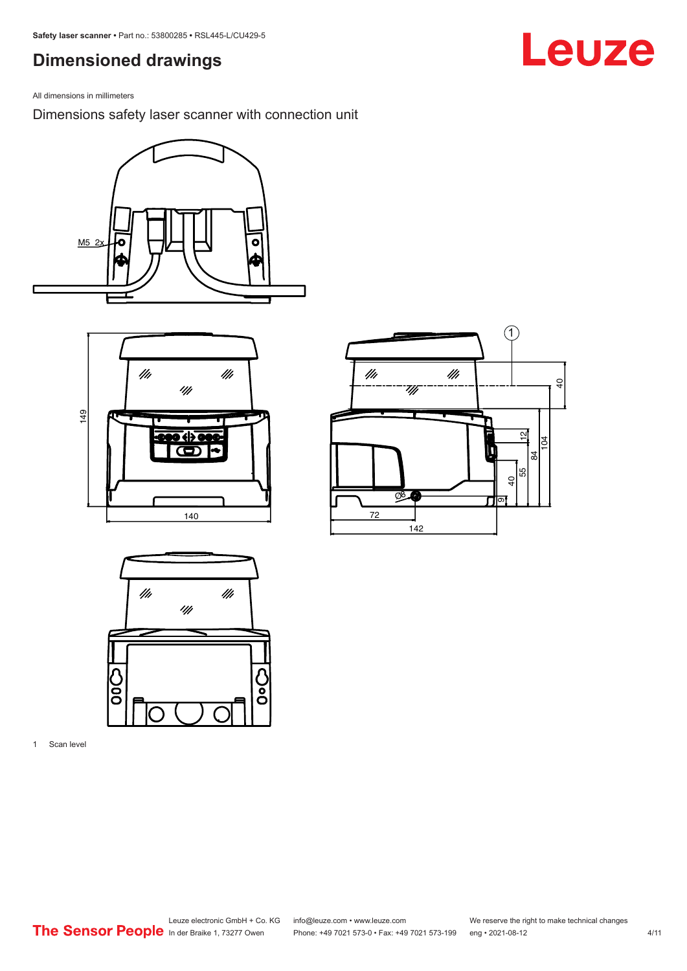# <span id="page-3-0"></span>**Dimensioned drawings**

All dimensions in millimeters

Dimensions safety laser scanner with connection unit









1 Scan level

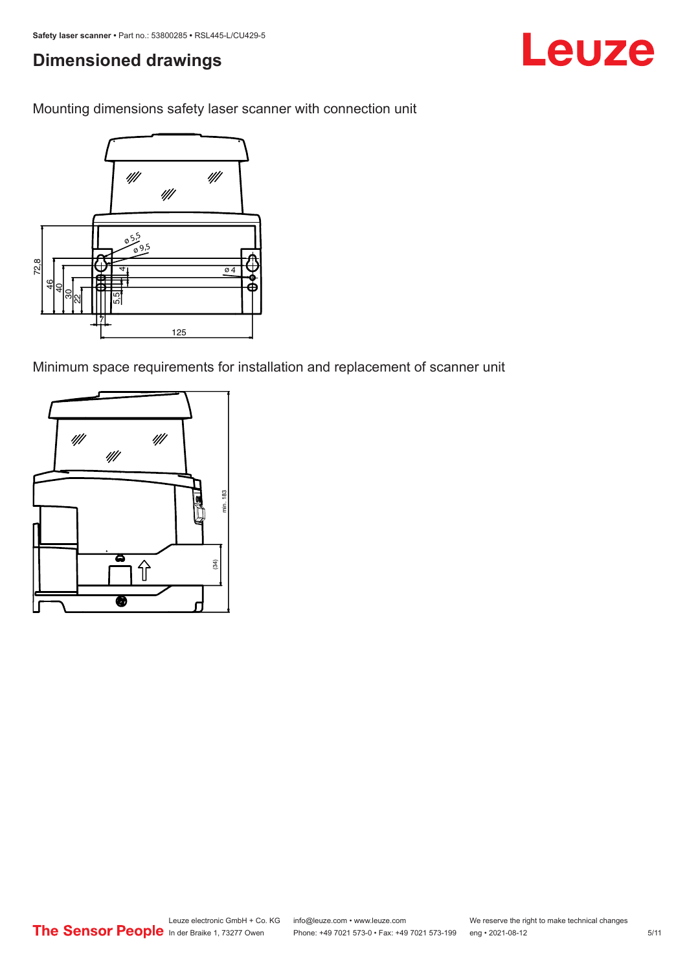# **Dimensioned drawings**

Mounting dimensions safety laser scanner with connection unit



Minimum space requirements for installation and replacement of scanner unit

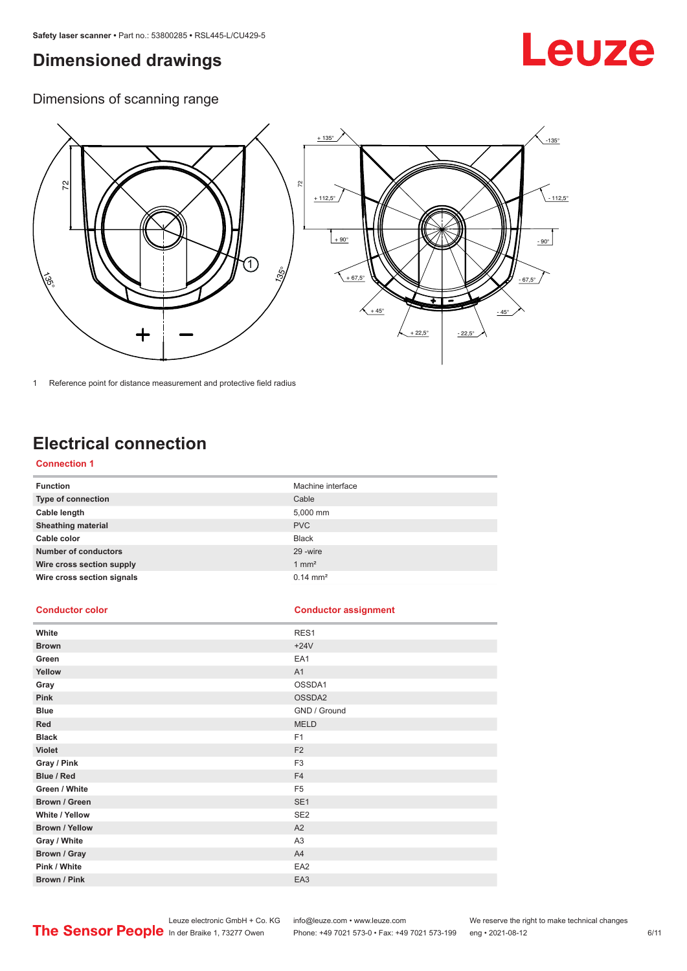# <span id="page-5-0"></span>**Dimensioned drawings**

# Leuze

Dimensions of scanning range



1 Reference point for distance measurement and protective field radius

# **Electrical connection**

#### **Connection 1**

| <b>Function</b>             | Machine interface   |
|-----------------------------|---------------------|
| Type of connection          | Cable               |
| Cable length                | 5,000 mm            |
| <b>Sheathing material</b>   | <b>PVC</b>          |
| Cable color                 | <b>Black</b>        |
| <b>Number of conductors</b> | 29 - wire           |
| Wire cross section supply   | $1 \text{ mm}^2$    |
| Wire cross section signals  | $0.14 \text{ mm}^2$ |

#### **Conductor color Conductor assignment**

| White                 | RES1            |
|-----------------------|-----------------|
| <b>Brown</b>          | $+24V$          |
| Green                 | EA1             |
| Yellow                | A1              |
| Gray                  | OSSDA1          |
| Pink                  | OSSDA2          |
| <b>Blue</b>           | GND / Ground    |
| Red                   | <b>MELD</b>     |
| <b>Black</b>          | F1              |
| <b>Violet</b>         | F <sub>2</sub>  |
| Gray / Pink           | F <sub>3</sub>  |
| Blue / Red            | F <sub>4</sub>  |
| Green / White         | F <sub>5</sub>  |
| Brown / Green         | SE <sub>1</sub> |
| White / Yellow        | SE <sub>2</sub> |
| <b>Brown / Yellow</b> | A2              |
| Gray / White          | A <sub>3</sub>  |
| Brown / Gray          | A4              |
| Pink / White          | EA <sub>2</sub> |
| Brown / Pink          | EA3             |

Leuze electronic GmbH + Co. KG info@leuze.com • www.leuze.com We reserve the right to make technical changes

In der Braike 1, 73277 Owen Phone: +49 7021 573-0 • Fax: +49 7021 573-199 eng • 2021-08-12 6 /11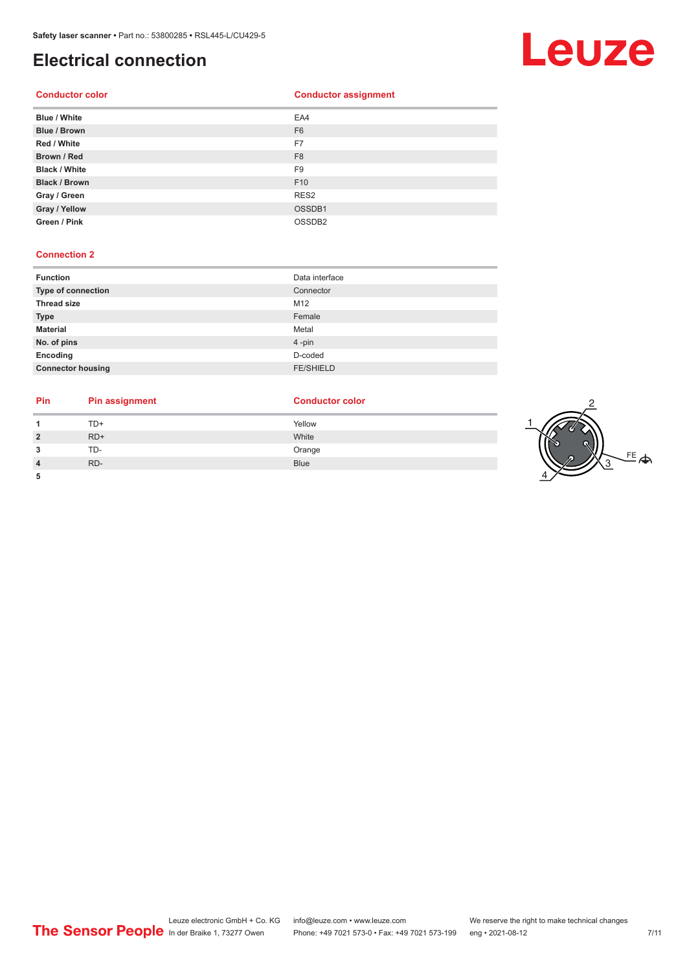# **Electrical connection**



| Brown / Red          | F <sub>8</sub>     |
|----------------------|--------------------|
| <b>Black / White</b> | F <sub>9</sub>     |
| <b>Black / Brown</b> | F <sub>10</sub>    |
| Gray / Green         | RES <sub>2</sub>   |
| Gray / Yellow        | OSSDB1             |
| Green / Pink         | OSSDB <sub>2</sub> |

#### **Connection 2**

| <b>Function</b>          | Data interface   |
|--------------------------|------------------|
| Type of connection       | Connector        |
| <b>Thread size</b>       | M12              |
| <b>Type</b>              | Female           |
| <b>Material</b>          | Metal            |
| No. of pins              | 4-pin            |
| Encoding                 | D-coded          |
| <b>Connector housing</b> | <b>FE/SHIELD</b> |

### **Pin Pin assignment Conductor Conductor Color**

| 1              | TD+   | Yellow      |
|----------------|-------|-------------|
| $\overline{2}$ | $RD+$ | White       |
| 3              | TD-   | Orange      |
| 4              | RD-   | <b>Blue</b> |

**5**

 $\sim$ 

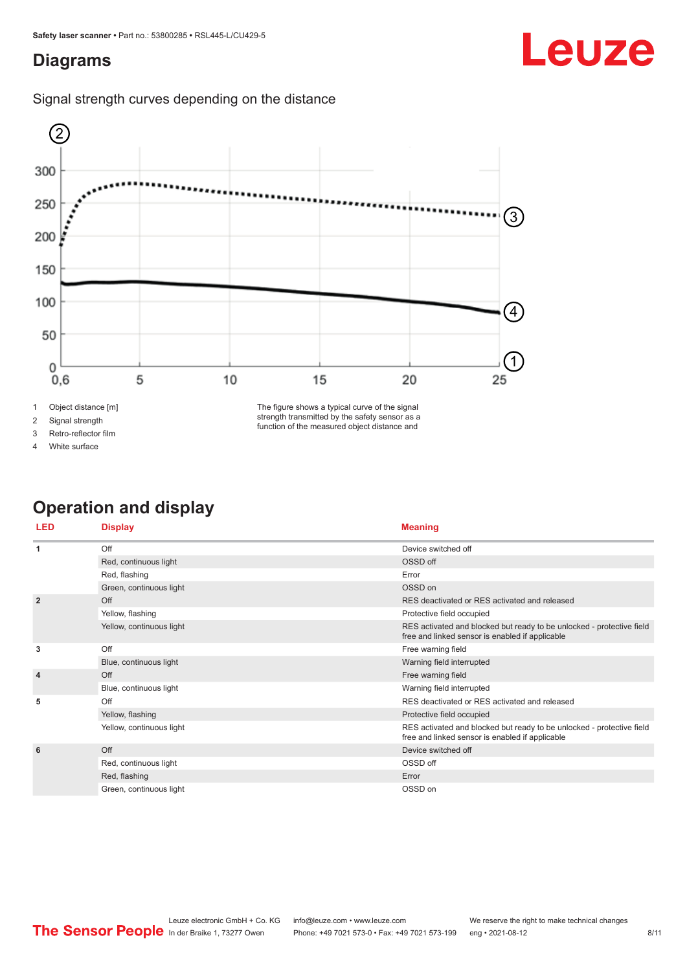# <span id="page-7-0"></span>**Diagrams**





2 Signal strength

3 Retro-reflector film

4 White surface

The figure shows a typical curve of the signal strength transmitted by the safety sensor as a function of the measured object distance and

# **Operation and display**

| <b>LED</b>     | <b>Display</b>           | <b>Meaning</b>                                                                                                           |
|----------------|--------------------------|--------------------------------------------------------------------------------------------------------------------------|
| -1             | Off                      | Device switched off                                                                                                      |
|                | Red, continuous light    | OSSD off                                                                                                                 |
|                | Red, flashing            | Error                                                                                                                    |
|                | Green, continuous light  | OSSD on                                                                                                                  |
| $\overline{2}$ | Off                      | RES deactivated or RES activated and released                                                                            |
|                | Yellow, flashing         | Protective field occupied                                                                                                |
|                | Yellow, continuous light | RES activated and blocked but ready to be unlocked - protective field<br>free and linked sensor is enabled if applicable |
| 3              | Off                      | Free warning field                                                                                                       |
|                | Blue, continuous light   | Warning field interrupted                                                                                                |
| $\overline{4}$ | Off                      | Free warning field                                                                                                       |
|                | Blue, continuous light   | Warning field interrupted                                                                                                |
| 5              | Off                      | RES deactivated or RES activated and released                                                                            |
|                | Yellow, flashing         | Protective field occupied                                                                                                |
|                | Yellow, continuous light | RES activated and blocked but ready to be unlocked - protective field<br>free and linked sensor is enabled if applicable |
| 6              | Off                      | Device switched off                                                                                                      |
|                | Red, continuous light    | OSSD off                                                                                                                 |
|                | Red, flashing            | Error                                                                                                                    |
|                | Green, continuous light  | OSSD on                                                                                                                  |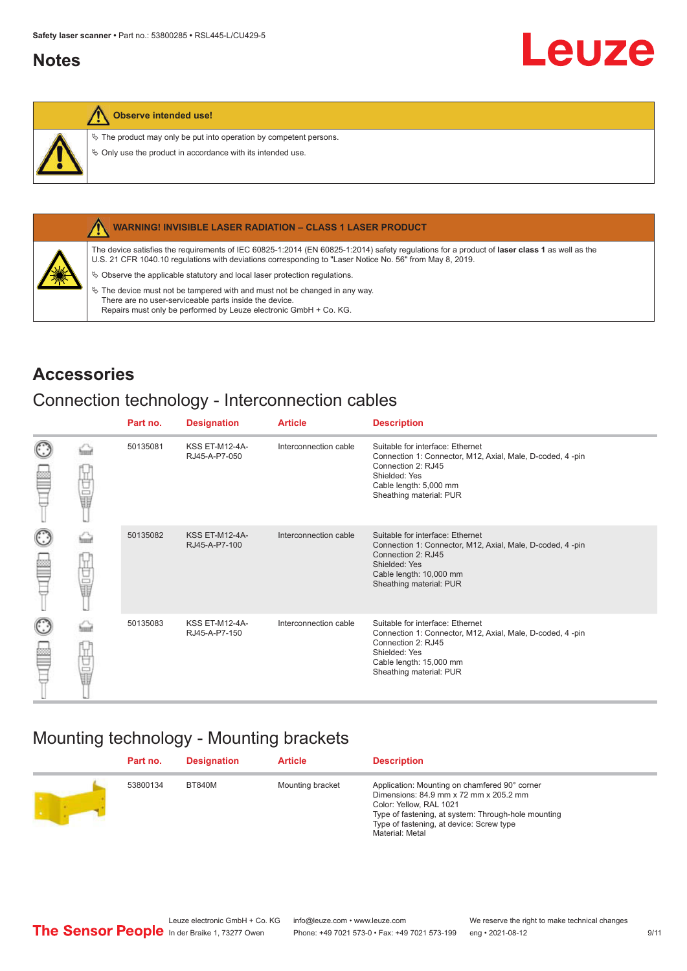### <span id="page-8-0"></span>**Notes**



#### **Observe intended use!**

 $\&$  The product may only be put into operation by competent persons.

 $\%$  Only use the product in accordance with its intended use.



#### **WARNING! INVISIBLE LASER RADIATION – CLASS 1 LASER PRODUCT**

The device satisfies the requirements of IEC 60825-1:2014 (EN 60825-1:2014) safety regulations for a product of **laser class 1** as well as the U.S. 21 CFR 1040.10 regulations with deviations corresponding to "Laser Notice No. 56" from May 8, 2019.

 $\&$  Observe the applicable statutory and local laser protection regulations.

 $\%$  The device must not be tampered with and must not be changed in any way. There are no user-serviceable parts inside the device. Repairs must only be performed by Leuze electronic GmbH + Co. KG.

### **Accessories**

### Connection technology - Interconnection cables

|                      |    | Part no. | <b>Designation</b>                     | <b>Article</b>        | <b>Description</b>                                                                                                                                                                         |
|----------------------|----|----------|----------------------------------------|-----------------------|--------------------------------------------------------------------------------------------------------------------------------------------------------------------------------------------|
| $_{\odot}$           | Ū  | 50135081 | <b>KSS ET-M12-4A-</b><br>RJ45-A-P7-050 | Interconnection cable | Suitable for interface: Ethernet<br>Connection 1: Connector, M12, Axial, Male, D-coded, 4-pin<br>Connection 2: RJ45<br>Shielded: Yes<br>Cable length: 5,000 mm<br>Sheathing material: PUR  |
| $_{\bigodot}$<br>œ   | 甘量 | 50135082 | <b>KSS ET-M12-4A-</b><br>RJ45-A-P7-100 | Interconnection cable | Suitable for interface: Ethernet<br>Connection 1: Connector, M12, Axial, Male, D-coded, 4-pin<br>Connection 2: RJ45<br>Shielded: Yes<br>Cable length: 10,000 mm<br>Sheathing material: PUR |
| $_{\mathbb{C}}$<br>œ | 甘晶 | 50135083 | <b>KSS ET-M12-4A-</b><br>RJ45-A-P7-150 | Interconnection cable | Suitable for interface: Ethernet<br>Connection 1: Connector, M12, Axial, Male, D-coded, 4-pin<br>Connection 2: RJ45<br>Shielded: Yes<br>Cable length: 15,000 mm<br>Sheathing material: PUR |

# Mounting technology - Mounting brackets

| Part no. | <b>Designation</b> | <b>Article</b>   | <b>Description</b>                                                                                                                                                                                                                       |
|----------|--------------------|------------------|------------------------------------------------------------------------------------------------------------------------------------------------------------------------------------------------------------------------------------------|
| 53800134 | BT840M             | Mounting bracket | Application: Mounting on chamfered 90° corner<br>Dimensions: 84.9 mm x 72 mm x 205.2 mm<br>Color: Yellow, RAL 1021<br>Type of fastening, at system: Through-hole mounting<br>Type of fastening, at device: Screw type<br>Material: Metal |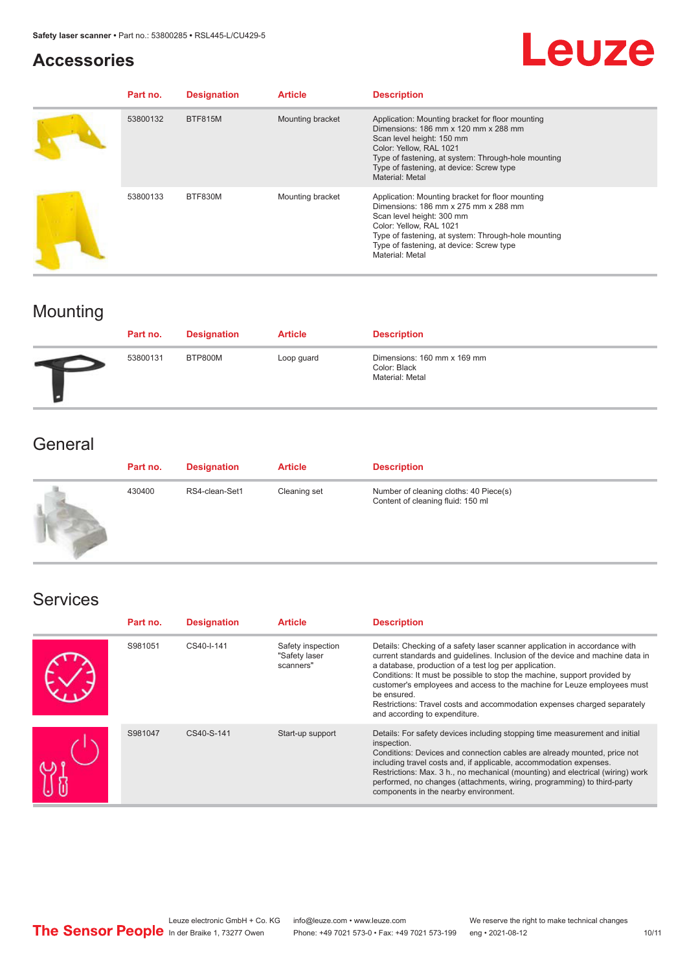## **Accessories**

# Leuze

| Part no. | <b>Designation</b> | <b>Article</b>   | <b>Description</b>                                                                                                                                                                                                                                                            |
|----------|--------------------|------------------|-------------------------------------------------------------------------------------------------------------------------------------------------------------------------------------------------------------------------------------------------------------------------------|
| 53800132 | <b>BTF815M</b>     | Mounting bracket | Application: Mounting bracket for floor mounting<br>Dimensions: 186 mm x 120 mm x 288 mm<br>Scan level height: 150 mm<br>Color: Yellow, RAL 1021<br>Type of fastening, at system: Through-hole mounting<br>Type of fastening, at device: Screw type<br><b>Material: Metal</b> |
| 53800133 | BTF830M            | Mounting bracket | Application: Mounting bracket for floor mounting<br>Dimensions: 186 mm x 275 mm x 288 mm<br>Scan level height: 300 mm<br>Color: Yellow, RAL 1021<br>Type of fastening, at system: Through-hole mounting<br>Type of fastening, at device: Screw type<br><b>Material: Metal</b> |

# Mounting

| Part no. | <b>Designation</b> | <b>Article</b> | <b>Description</b>                                             |
|----------|--------------------|----------------|----------------------------------------------------------------|
| 53800131 | BTP800M            | Loop guard     | Dimensions: 160 mm x 169 mm<br>Color: Black<br>Material: Metal |

# **General**

| Part no. | <b>Designation</b> | <b>Article</b> | <b>Description</b>                                                          |
|----------|--------------------|----------------|-----------------------------------------------------------------------------|
| 430400   | RS4-clean-Set1     | Cleaning set   | Number of cleaning cloths: 40 Piece(s)<br>Content of cleaning fluid: 150 ml |

# Services

| Part no. | <b>Designation</b> | <b>Article</b>                                  | <b>Description</b>                                                                                                                                                                                                                                                                                                                                                                                                                                                                                      |
|----------|--------------------|-------------------------------------------------|---------------------------------------------------------------------------------------------------------------------------------------------------------------------------------------------------------------------------------------------------------------------------------------------------------------------------------------------------------------------------------------------------------------------------------------------------------------------------------------------------------|
| S981051  | CS40-I-141         | Safety inspection<br>"Safety laser<br>scanners" | Details: Checking of a safety laser scanner application in accordance with<br>current standards and quidelines. Inclusion of the device and machine data in<br>a database, production of a test log per application.<br>Conditions: It must be possible to stop the machine, support provided by<br>customer's employees and access to the machine for Leuze employees must<br>be ensured.<br>Restrictions: Travel costs and accommodation expenses charged separately<br>and according to expenditure. |
| S981047  | CS40-S-141         | Start-up support                                | Details: For safety devices including stopping time measurement and initial<br>inspection.<br>Conditions: Devices and connection cables are already mounted, price not<br>including travel costs and, if applicable, accommodation expenses.<br>Restrictions: Max. 3 h., no mechanical (mounting) and electrical (wiring) work<br>performed, no changes (attachments, wiring, programming) to third-party<br>components in the nearby environment.                                                      |